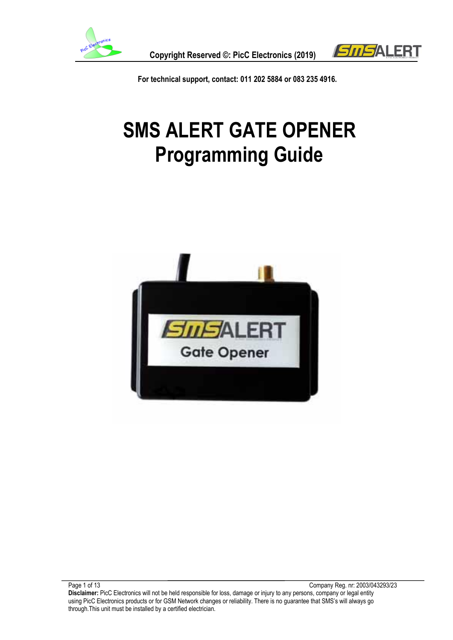

 **Copyright Reserved ©: PicC Electronics (2019)**



 **For technical support, contact: 011 202 5884 or 083 235 4916.**

# **SMS ALERT GATE OPENER Programming Guide**

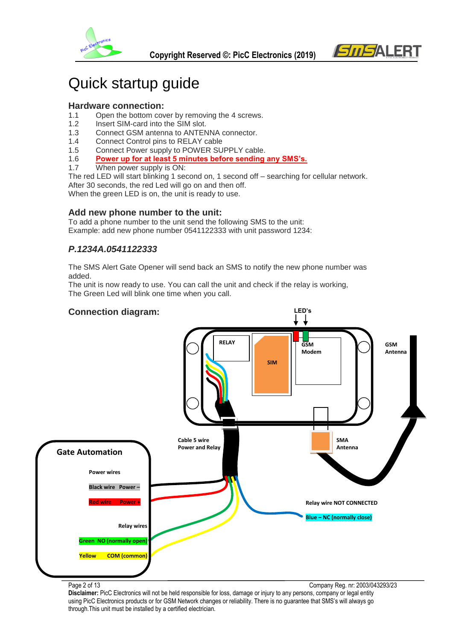



### Quick startup guide

#### **Hardware connection:**

- 1.1 Open the bottom cover by removing the 4 screws.
- 1.2 Insert SIM-card into the SIM slot.
- 1.3 Connect GSM antenna to ANTENNA connector.
- 1.4 Connect Control pins to RELAY cable
- 1.5 Connect Power supply to POWER SUPPLY cable.
- 1.6 **Power up for at least 5 minutes before sending any SMS's.**
- 1.7 When power supply is ON:

The red LED will start blinking 1 second on, 1 second off – searching for cellular network. After 30 seconds, the red Led will go on and then off. When the green LED is on, the unit is ready to use.

**Add new phone number to the unit:**

To add a phone number to the unit send the following SMS to the unit: Example: add new phone number 0541122333 with unit password 1234:

#### *P.1234A.0541122333*

The SMS Alert Gate Opener will send back an SMS to notify the new phone number was added.

The unit is now ready to use. You can call the unit and check if the relay is working, The Green Led will blink one time when you call.



Page 2 of 13 Company Reg. nr: 2003/043293/23 **Disclaimer:** PicC Electronics will not be held responsible for loss, damage or injury to any persons, company or legal entity using PicC Electronics products or for GSM Network changes or reliability. There is no guarantee that SMS's will always go through.This unit must be installed by a certified electrician.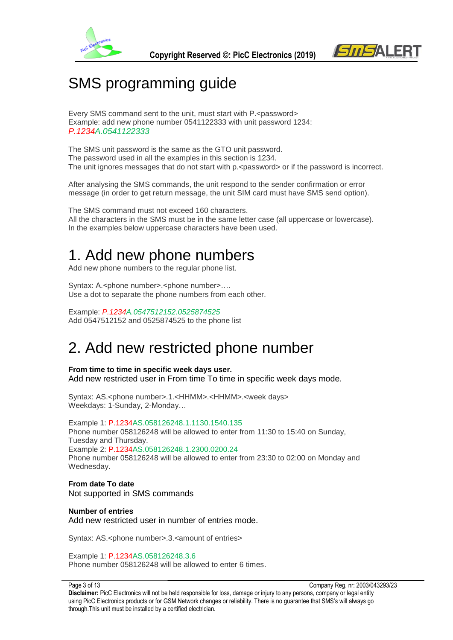



### SMS programming guide

Every SMS command sent to the unit, must start with P.<password> Example: add new phone number 0541122333 with unit password 1234: *P.1234A.0541122333*

The SMS unit password is the same as the GTO unit password. The password used in all the examples in this section is 1234. The unit ignores messages that do not start with  $p \leq p$  assword or if the password is incorrect.

After analysing the SMS commands, the unit respond to the sender confirmation or error message (in order to get return message, the unit SIM card must have SMS send option).

The SMS command must not exceed 160 characters. All the characters in the SMS must be in the same letter case (all uppercase or lowercase). In the examples below uppercase characters have been used.

### 1. Add new phone numbers

Add new phone numbers to the regular phone list.

Syntax: A.<phone number>.<phone number>.... Use a dot to separate the phone numbers from each other.

Example: *P.1234A.0547512152.0525874525* Add 0547512152 and 0525874525 to the phone list

### 2. Add new restricted phone number

**From time to time in specific week days user.** Add new restricted user in From time To time in specific week days mode.

Syntax: AS.<phone number>.1.<HHMM>.<HHMM>.<week days> Weekdays: 1-Sunday, 2-Monday…

Example 1: P.1234AS.058126248.1.1130.1540.135 Phone number 058126248 will be allowed to enter from 11:30 to 15:40 on Sunday, Tuesday and Thursday. Example 2: P.1234AS.058126248.1.2300.0200.24 Phone number 058126248 will be allowed to enter from 23:30 to 02:00 on Monday and Wednesday.

#### **From date To date** Not supported in SMS commands

**Number of entries**  Add new restricted user in number of entries mode.

Syntax: AS.<phone number>.3.<amount of entries>

Example 1: P.1234AS.058126248.3.6 Phone number 058126248 will be allowed to enter 6 times.

Page 3 of 13 Company Reg. nr: 2003/043293/23 **Disclaimer:** PicC Electronics will not be held responsible for loss, damage or injury to any persons, company or legal entity using PicC Electronics products or for GSM Network changes or reliability. There is no guarantee that SMS's will always go through.This unit must be installed by a certified electrician.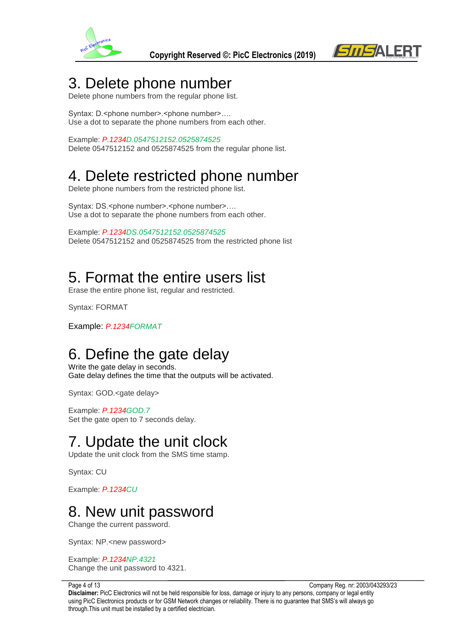



### 3. Delete phone number

Delete phone numbers from the regular phone list.

Syntax: D.<phone number>.<phone number>.... Use a dot to separate the phone numbers from each other.

Example: *P.1234D.0547512152.0525874525* Delete 0547512152 and 0525874525 from the regular phone list.

## 4. Delete restricted phone number

Delete phone numbers from the restricted phone list.

Syntax: DS.<phone number>.<phone number>.... Use a dot to separate the phone numbers from each other.

Example: *P.1234DS.0547512152.0525874525* Delete 0547512152 and 0525874525 from the restricted phone list

### 5. Format the entire users list

Erase the entire phone list, regular and restricted.

Syntax: FORMAT

Example: *P.1234FORMAT*

### 6. Define the gate delay

Write the gate delay in seconds. Gate delay defines the time that the outputs will be activated.

Syntax: GOD.<gate delay>

Example: *P.1234GOD.7* Set the gate open to 7 seconds delay.

## 7. Update the unit clock

Update the unit clock from the SMS time stamp.

Syntax: CU

Example: *P.1234CU*

### 8. New unit password

Change the current password.

Syntax: NP.<new password>

Example: *P.1234NP.4321* Change the unit password to 4321.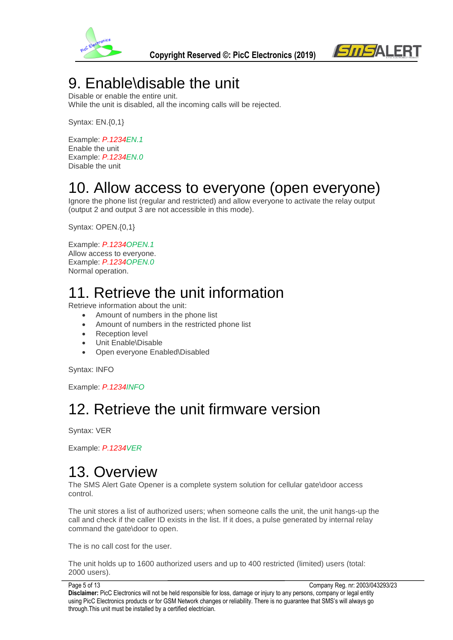



### 9. Enable\disable the unit

Disable or enable the entire unit. While the unit is disabled, all the incoming calls will be rejected.

Syntax: EN.{0,1}

Example: *P.1234EN.1* Enable the unit Example: *P.1234EN.0* Disable the unit

### 10. Allow access to everyone (open everyone)

Ignore the phone list (regular and restricted) and allow everyone to activate the relay output (output 2 and output 3 are not accessible in this mode).

Syntax: OPEN.{0,1}

Example: *P.1234OPEN.1* Allow access to everyone. Example: *P.1234OPEN.0* Normal operation.

## 11. Retrieve the unit information

Retrieve information about the unit:

- Amount of numbers in the phone list
- Amount of numbers in the restricted phone list
- Reception level
- Unit Enable\Disable
- Open everyone Enabled\Disabled

Syntax: INFO

Example: *P.1234INFO*

## 12. Retrieve the unit firmware version

Syntax: VER

Example: *P.1234VER*

### 13. Overview

The SMS Alert Gate Opener is a complete system solution for cellular gate\door access control.

The unit stores a list of authorized users; when someone calls the unit, the unit hangs-up the call and check if the caller ID exists in the list. If it does, a pulse generated by internal relay command the gate\door to open.

The is no call cost for the user.

The unit holds up to 1600 authorized users and up to 400 restricted (limited) users (total: 2000 users).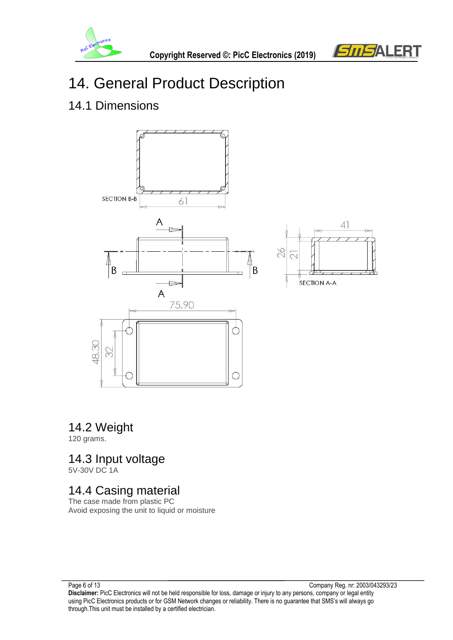



## 14. General Product Description

#### 14.1 Dimensions



#### 14.2 Weight

120 grams.

### 14.3 Input voltage

5V-30V DC 1A

### 14.4 Casing material

The case made from plastic PC Avoid exposing the unit to liquid or moisture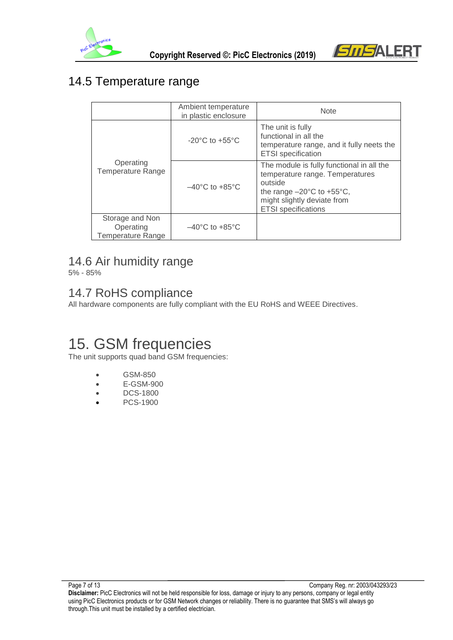



### 14.5 Temperature range

|                                                   | Ambient temperature<br>in plastic enclosure | <b>Note</b>                                                                                                                                                                                           |
|---------------------------------------------------|---------------------------------------------|-------------------------------------------------------------------------------------------------------------------------------------------------------------------------------------------------------|
| Operating<br><b>Temperature Range</b>             | $-20^{\circ}$ C to $+55^{\circ}$ C          | The unit is fully<br>functional in all the<br>temperature range, and it fully neets the<br><b>ETSI</b> specification                                                                                  |
|                                                   | $-40^{\circ}$ C to $+85^{\circ}$ C          | The module is fully functional in all the<br>temperature range. Temperatures<br>outside<br>the range $-20^{\circ}$ C to $+55^{\circ}$ C,<br>might slightly deviate from<br><b>ETSI</b> specifications |
| Storage and Non<br>Operating<br>Temperature Range | $-40^{\circ}$ C to $+85^{\circ}$ C          |                                                                                                                                                                                                       |

#### 14.6 Air humidity range

5% - 85%

#### 14.7 RoHS compliance

All hardware components are fully compliant with the EU RoHS and WEEE Directives.

## 15. GSM frequencies

The unit supports quad band GSM frequencies:

- GSM-850
- E-GSM-900
- DCS-1800
- PCS-1900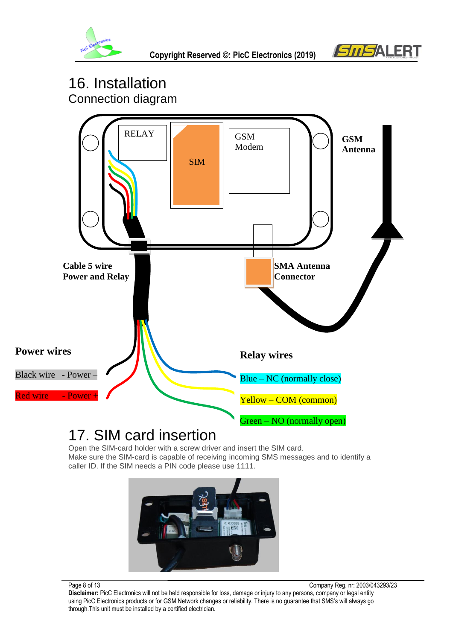



### 16. Installation Connection diagram

SIM RELAY  $\|\cdot\|$  GSM Modem **SMA Antenna Connector Cable 5 wire Power and Relay Relay wires** Blue – NC (normally close) Yellow – COM (common) Green – NO (normally open) **Power wires** Black wire - Power –  $R$ ed wire  $\longrightarrow$  Powe **GSM Antenna**  SIM

### 17. SIM card insertion

Open the SIM-card holder with a screw driver and insert the SIM card. Make sure the SIM-card is capable of receiving incoming SMS messages and to identify a caller ID. If the SIM needs a PIN code please use 1111.



Page 8 of 13 Company Reg. nr: 2003/043293/23 **Disclaimer:** PicC Electronics will not be held responsible for loss, damage or injury to any persons, company or legal entity using PicC Electronics products or for GSM Network changes or reliability. There is no guarantee that SMS's will always go through.This unit must be installed by a certified electrician.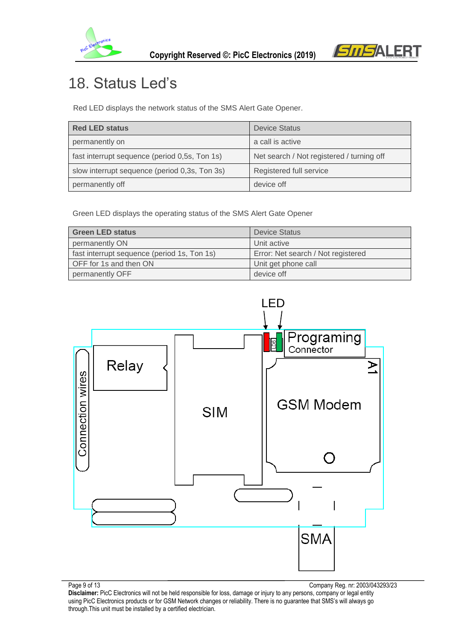



## 18. Status Led's

Red LED displays the network status of the SMS Alert Gate Opener.

| <b>Red LED status</b>                         | <b>Device Status</b>                      |
|-----------------------------------------------|-------------------------------------------|
| permanently on                                | a call is active                          |
| fast interrupt sequence (period 0,5s, Ton 1s) | Net search / Not registered / turning off |
| slow interrupt sequence (period 0,3s, Ton 3s) | Registered full service                   |
| permanently off                               | device off                                |

Green LED displays the operating status of the SMS Alert Gate Opener

| <b>Green LED status</b>                     | <b>Device Status</b>               |
|---------------------------------------------|------------------------------------|
| permanently ON                              | Unit active                        |
| fast interrupt sequence (period 1s, Ton 1s) | Error: Net search / Not registered |
| OFF for 1s and then ON                      | Unit get phone call                |
| permanently OFF                             | device off                         |



**Disclaimer:** PicC Electronics will not be held responsible for loss, damage or injury to any persons, company or legal entity using PicC Electronics products or for GSM Network changes or reliability. There is no guarantee that SMS's will always go through.This unit must be installed by a certified electrician.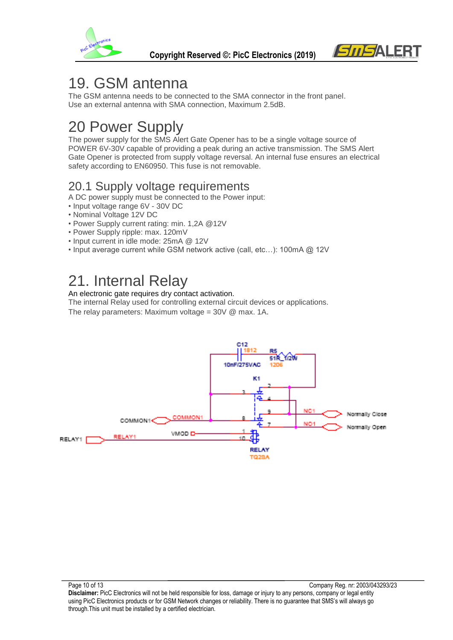



### 19. GSM antenna

The GSM antenna needs to be connected to the SMA connector in the front panel. Use an external antenna with SMA connection, Maximum 2.5dB.

## 20 Power Supply

The power supply for the SMS Alert Gate Opener has to be a single voltage source of POWER 6V-30V capable of providing a peak during an active transmission. The SMS Alert Gate Opener is protected from supply voltage reversal. An internal fuse ensures an electrical safety according to EN60950. This fuse is not removable.

#### 20.1 Supply voltage requirements

- A DC power supply must be connected to the Power input:
- Input voltage range 6V 30V DC
- Nominal Voltage 12V DC
- Power Supply current rating: min. 1,2A @12V
- Power Supply ripple: max. 120mV
- Input current in idle mode: 25mA @ 12V
- Input average current while GSM network active (call, etc…): 100mA @ 12V

### 21. Internal Relay

#### An electronic gate requires dry contact activation.

The internal Relay used for controlling external circuit devices or applications.

The relay parameters: Maximum voltage =  $30V$  @ max. 1A.

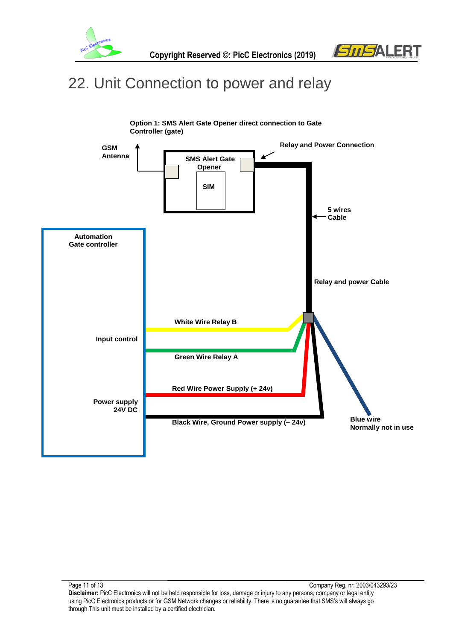



### 22. Unit Connection to power and relay

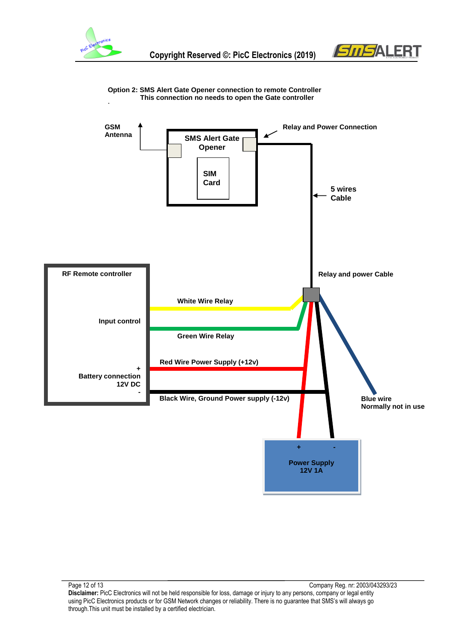





**Option 2: SMS Alert Gate Opener connection to remote Controller This connection no needs to open the Gate controller**